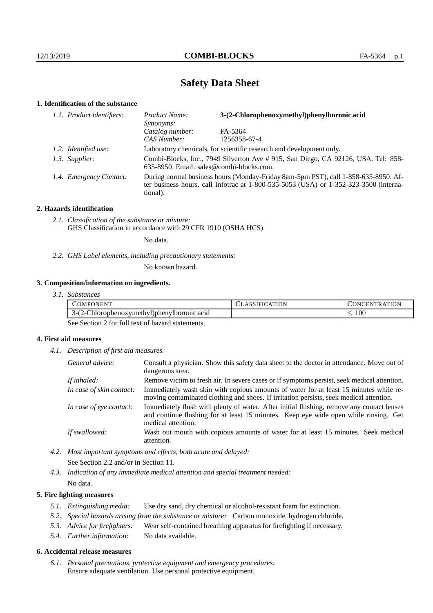# **Safety Data Sheet**

# **1. Identification of the substance**

| 1.1. Product identifiers: | 3-(2-Chlorophenoxymethyl)phenylboronic acid<br>Product Name:<br>Synonyms:                                                                                                               |              |  |
|---------------------------|-----------------------------------------------------------------------------------------------------------------------------------------------------------------------------------------|--------------|--|
|                           | Catalog number:                                                                                                                                                                         | FA-5364      |  |
|                           | CAS Number:                                                                                                                                                                             | 1256358-67-4 |  |
| 1.2. Identified use:      | Laboratory chemicals, for scientific research and development only.                                                                                                                     |              |  |
| 1.3. Supplier:            | Combi-Blocks, Inc., 7949 Silverton Ave # 915, San Diego, CA 92126, USA. Tel: 858-<br>635-8950. Email: sales@combi-blocks.com.                                                           |              |  |
| 1.4. Emergency Contact:   | During normal business hours (Monday-Friday 8am-5pm PST), call 1-858-635-8950. Af-<br>ter business hours, call Infotrac at 1-800-535-5053 (USA) or 1-352-323-3500 (interna-<br>tional). |              |  |

# **2. Hazards identification**

*2.1. Classification of the substance or mixture:* GHS Classification in accordance with 29 CFR 1910 (OSHA HCS)

No data.

*2.2. GHS Label elements, including precautionary statements:*

No known hazard.

# **3. Composition/information on ingredients.**

*3.1. Substances*

| -<br>OMPONENT                                                                                              | <b>\TION</b> | 'ON<br><b>INI</b><br>. .<br>$\mathbf{H}$ |
|------------------------------------------------------------------------------------------------------------|--------------|------------------------------------------|
| $\sim$<br>$\sim$<br>$\curvearrowright$<br>Chlorophenoxymethyl)phenylboromic<br>acid<br>′ – •<br>ו-ר<br>. . |              | 100 <sub>1</sub><br>_                    |

See Section 2 for full text of hazard statements.

# **4. First aid measures**

*4.1. Description of first aid measures.*

| General advice:          | Consult a physician. Show this safety data sheet to the doctor in attendance. Move out of<br>dangerous area.                                                                                            |
|--------------------------|---------------------------------------------------------------------------------------------------------------------------------------------------------------------------------------------------------|
| If inhaled:              | Remove victim to fresh air. In severe cases or if symptoms persist, seek medical attention.                                                                                                             |
| In case of skin contact: | Immediately wash skin with copious amounts of water for at least 15 minutes while re-<br>moving contaminated clothing and shoes. If irritation persists, seek medical attention.                        |
| In case of eye contact:  | Immediately flush with plenty of water. After initial flushing, remove any contact lenses<br>and continue flushing for at least 15 minutes. Keep eye wide open while rinsing. Get<br>medical attention. |
| If swallowed:            | Wash out mouth with copious amounts of water for at least 15 minutes. Seek medical<br>attention.                                                                                                        |

*4.2. Most important symptoms and effects, both acute and delayed:* See Section 2.2 and/or in Section 11.

*4.3. Indication of any immediate medical attention and special treatment needed:* No data.

## **5. Fire fighting measures**

- *5.1. Extinguishing media:* Use dry sand, dry chemical or alcohol-resistant foam for extinction.
- *5.2. Special hazards arising from the substance or mixture:* Carbon monoxide, hydrogen chloride.
- *5.3. Advice for firefighters:* Wear self-contained breathing apparatus for firefighting if necessary.
- *5.4. Further information:* No data available.

## **6. Accidental release measures**

*6.1. Personal precautions, protective equipment and emergency procedures:* Ensure adequate ventilation. Use personal protective equipment.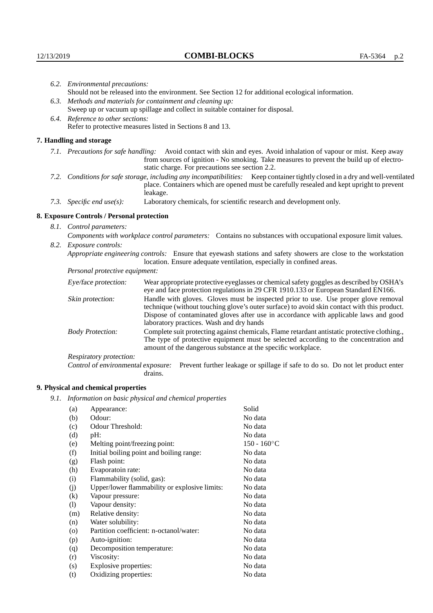| 6.2. Environmental precautions: |                                                                                                                                                                                                                                                                    |                                                                                                                                                                                                                                                                                                                        |  |  |  |
|---------------------------------|--------------------------------------------------------------------------------------------------------------------------------------------------------------------------------------------------------------------------------------------------------------------|------------------------------------------------------------------------------------------------------------------------------------------------------------------------------------------------------------------------------------------------------------------------------------------------------------------------|--|--|--|
|                                 | Should not be released into the environment. See Section 12 for additional ecological information.                                                                                                                                                                 |                                                                                                                                                                                                                                                                                                                        |  |  |  |
|                                 |                                                                                                                                                                                                                                                                    | 6.3. Methods and materials for containment and cleaning up:                                                                                                                                                                                                                                                            |  |  |  |
|                                 | Sweep up or vacuum up spillage and collect in suitable container for disposal.                                                                                                                                                                                     |                                                                                                                                                                                                                                                                                                                        |  |  |  |
|                                 | 6.4. Reference to other sections:                                                                                                                                                                                                                                  |                                                                                                                                                                                                                                                                                                                        |  |  |  |
|                                 | Refer to protective measures listed in Sections 8 and 13.                                                                                                                                                                                                          |                                                                                                                                                                                                                                                                                                                        |  |  |  |
|                                 | 7. Handling and storage                                                                                                                                                                                                                                            |                                                                                                                                                                                                                                                                                                                        |  |  |  |
|                                 | 7.1. Precautions for safe handling: Avoid contact with skin and eyes. Avoid inhalation of vapour or mist. Keep away<br>from sources of ignition - No smoking. Take measures to prevent the build up of electro-<br>static charge. For precautions see section 2.2. |                                                                                                                                                                                                                                                                                                                        |  |  |  |
|                                 |                                                                                                                                                                                                                                                                    | 7.2. Conditions for safe storage, including any incompatibilities: Keep container tightly closed in a dry and well-ventilated<br>place. Containers which are opened must be carefully resealed and kept upright to prevent<br>leakage.                                                                                 |  |  |  |
|                                 | 7.3. Specific end use(s):                                                                                                                                                                                                                                          | Laboratory chemicals, for scientific research and development only.                                                                                                                                                                                                                                                    |  |  |  |
|                                 | 8. Exposure Controls / Personal protection                                                                                                                                                                                                                         |                                                                                                                                                                                                                                                                                                                        |  |  |  |
| 8.1. Control parameters:        |                                                                                                                                                                                                                                                                    |                                                                                                                                                                                                                                                                                                                        |  |  |  |
|                                 | Components with workplace control parameters: Contains no substances with occupational exposure limit values.                                                                                                                                                      |                                                                                                                                                                                                                                                                                                                        |  |  |  |
|                                 | 8.2. Exposure controls:                                                                                                                                                                                                                                            |                                                                                                                                                                                                                                                                                                                        |  |  |  |
|                                 |                                                                                                                                                                                                                                                                    | Appropriate engineering controls: Ensure that eyewash stations and safety showers are close to the workstation<br>location. Ensure adequate ventilation, especially in confined areas.                                                                                                                                 |  |  |  |
|                                 | Personal protective equipment:                                                                                                                                                                                                                                     |                                                                                                                                                                                                                                                                                                                        |  |  |  |
|                                 | Eye/face protection:                                                                                                                                                                                                                                               | Wear appropriate protective eyeglasses or chemical safety goggles as described by OSHA's<br>eye and face protection regulations in 29 CFR 1910.133 or European Standard EN166.                                                                                                                                         |  |  |  |
|                                 | Skin protection:                                                                                                                                                                                                                                                   | Handle with gloves. Gloves must be inspected prior to use. Use proper glove removal<br>technique (without touching glove's outer surface) to avoid skin contact with this product.<br>Dispose of contaminated gloves after use in accordance with applicable laws and good<br>laboratory practices. Wash and dry hands |  |  |  |
|                                 | <b>Body Protection:</b>                                                                                                                                                                                                                                            | Complete suit protecting against chemicals, Flame retardant antistatic protective clothing.,<br>The type of protective equipment must be selected according to the concentration and<br>amount of the dangerous substance at the specific workplace.                                                                   |  |  |  |
|                                 | Respiratory protection:                                                                                                                                                                                                                                            |                                                                                                                                                                                                                                                                                                                        |  |  |  |

Control of environmental exposure: Prevent further leakage or spillage if safe to do so. Do not let product enter drains.

# **9. Physical and chemical properties**

*9.1. Information on basic physical and chemical properties*

| (a)                | Appearance:                                   | Solid          |
|--------------------|-----------------------------------------------|----------------|
| (b)                | Odour:                                        | No data        |
| (c)                | Odour Threshold:                              | No data        |
| (d)                | pH:                                           | No data        |
| (e)                | Melting point/freezing point:                 | $150 - 160$ °C |
| (f)                | Initial boiling point and boiling range:      | No data        |
| (g)                | Flash point:                                  | No data        |
| (h)                | Evaporatoin rate:                             | No data        |
| (i)                | Flammability (solid, gas):                    | No data        |
| (j)                | Upper/lower flammability or explosive limits: | No data        |
| $\left( k\right)$  | Vapour pressure:                              | No data        |
| (1)                | Vapour density:                               | No data        |
| (m)                | Relative density:                             | No data        |
| (n)                | Water solubility:                             | No data        |
| $\left( 0 \right)$ | Partition coefficient: n-octanol/water:       | No data        |
| (p)                | Auto-ignition:                                | No data        |
| (q)                | Decomposition temperature:                    | No data        |
| (r)                | Viscosity:                                    | No data        |
| (s)                | Explosive properties:                         | No data        |
| (t)                | Oxidizing properties:                         | No data        |